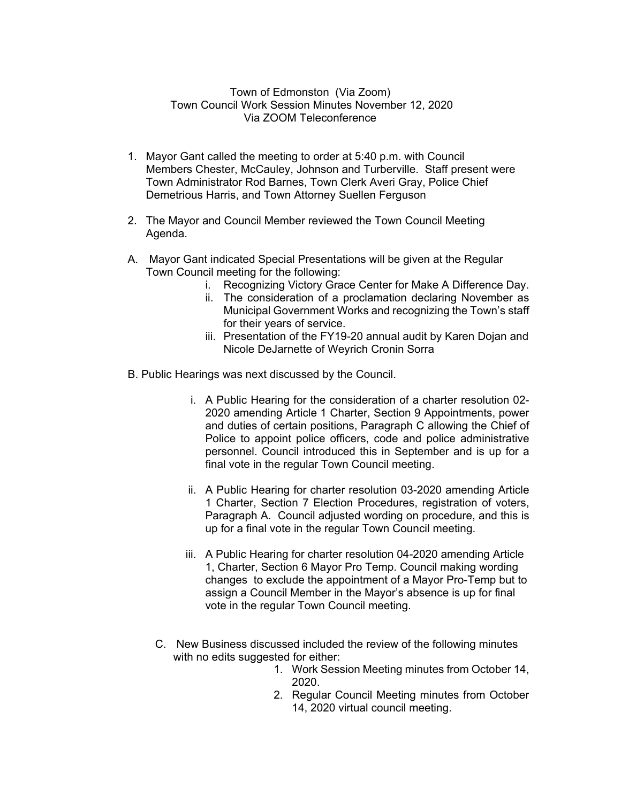## Town of Edmonston (Via Zoom) Town Council Work Session Minutes November 12, 2020 Via ZOOM Teleconference

- 1. Mayor Gant called the meeting to order at 5:40 p.m. with Council Members Chester, McCauley, Johnson and Turberville. Staff present were Town Administrator Rod Barnes, Town Clerk Averi Gray, Police Chief Demetrious Harris, and Town Attorney Suellen Ferguson
- 2. The Mayor and Council Member reviewed the Town Council Meeting Agenda.
- A. Mayor Gant indicated Special Presentations will be given at the Regular Town Council meeting for the following:
	- i. Recognizing Victory Grace Center for Make A Difference Day.
	- ii. The consideration of a proclamation declaring November as Municipal Government Works and recognizing the Town's staff for their years of service.
	- iii. Presentation of the FY19-20 annual audit by Karen Dojan and Nicole DeJarnette of Weyrich Cronin Sorra
- B. Public Hearings was next discussed by the Council.
	- i. A Public Hearing for the consideration of a charter resolution 02- 2020 amending Article 1 Charter, Section 9 Appointments, power and duties of certain positions, Paragraph C allowing the Chief of Police to appoint police officers, code and police administrative personnel. Council introduced this in September and is up for a final vote in the regular Town Council meeting.
	- ii. A Public Hearing for charter resolution 03-2020 amending Article 1 Charter, Section 7 Election Procedures, registration of voters, Paragraph A. Council adjusted wording on procedure, and this is up for a final vote in the regular Town Council meeting.
	- iii. A Public Hearing for charter resolution 04-2020 amending Article 1, Charter, Section 6 Mayor Pro Temp. Council making wording changes to exclude the appointment of a Mayor Pro-Temp but to assign a Council Member in the Mayor's absence is up for final vote in the regular Town Council meeting.
	- C. New Business discussed included the review of the following minutes with no edits suggested for either:
		- 1. Work Session Meeting minutes from October 14, 2020.
		- 2. Regular Council Meeting minutes from October 14, 2020 virtual council meeting.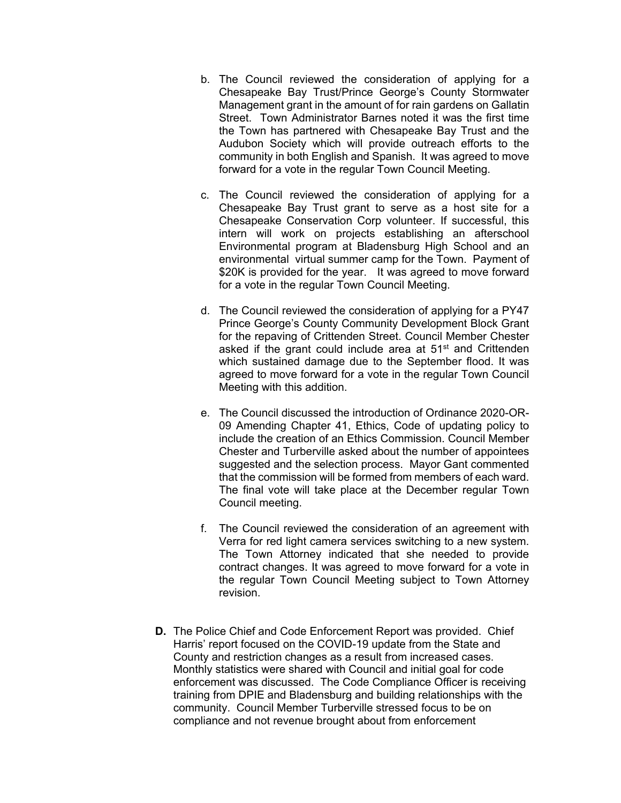- b. The Council reviewed the consideration of applying for a Chesapeake Bay Trust/Prince George's County Stormwater Management grant in the amount of for rain gardens on Gallatin Street. Town Administrator Barnes noted it was the first time the Town has partnered with Chesapeake Bay Trust and the Audubon Society which will provide outreach efforts to the community in both English and Spanish. It was agreed to move forward for a vote in the regular Town Council Meeting.
- c. The Council reviewed the consideration of applying for a Chesapeake Bay Trust grant to serve as a host site for a Chesapeake Conservation Corp volunteer. If successful, this intern will work on projects establishing an afterschool Environmental program at Bladensburg High School and an environmental virtual summer camp for the Town. Payment of \$20K is provided for the year. It was agreed to move forward for a vote in the regular Town Council Meeting.
- d. The Council reviewed the consideration of applying for a PY47 Prince George's County Community Development Block Grant for the repaving of Crittenden Street. Council Member Chester asked if the grant could include area at 51<sup>st</sup> and Crittenden which sustained damage due to the September flood. It was agreed to move forward for a vote in the regular Town Council Meeting with this addition.
- e. The Council discussed the introduction of Ordinance 2020-OR-09 Amending Chapter 41, Ethics, Code of updating policy to include the creation of an Ethics Commission. Council Member Chester and Turberville asked about the number of appointees suggested and the selection process. Mayor Gant commented that the commission will be formed from members of each ward. The final vote will take place at the December regular Town Council meeting.
- f. The Council reviewed the consideration of an agreement with Verra for red light camera services switching to a new system. The Town Attorney indicated that she needed to provide contract changes. It was agreed to move forward for a vote in the regular Town Council Meeting subject to Town Attorney revision.
- **D.** The Police Chief and Code Enforcement Report was provided. Chief Harris' report focused on the COVID-19 update from the State and County and restriction changes as a result from increased cases. Monthly statistics were shared with Council and initial goal for code enforcement was discussed. The Code Compliance Officer is receiving training from DPIE and Bladensburg and building relationships with the community. Council Member Turberville stressed focus to be on compliance and not revenue brought about from enforcement